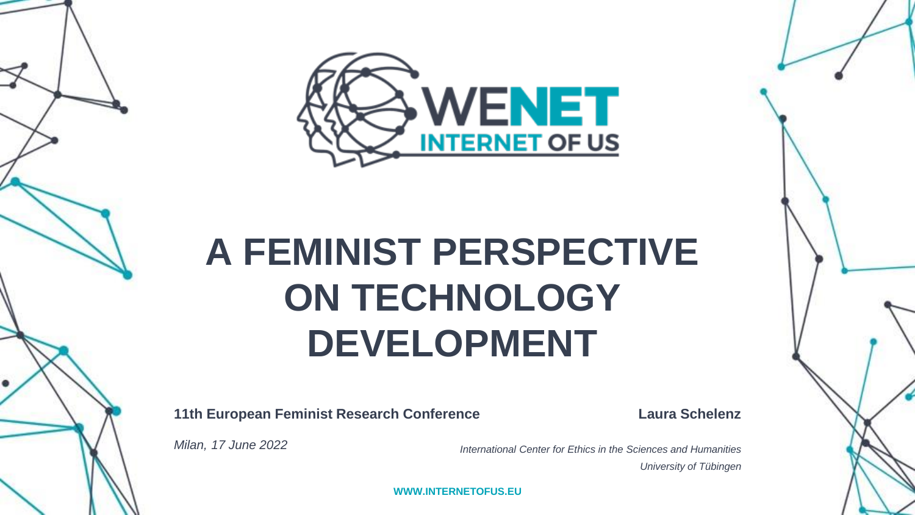

# **A FEMINIST PERSPECTIVE ON TECHNOLOGY DEVELOPMENT**

**11th European Feminist Research Conference**

**Laura Schelenz**

*Milan, 17 June 2022*

*International Center for Ethics in the Sciences and Humanities University of Tübingen*

**WWW.INTERNETOFUS.EU**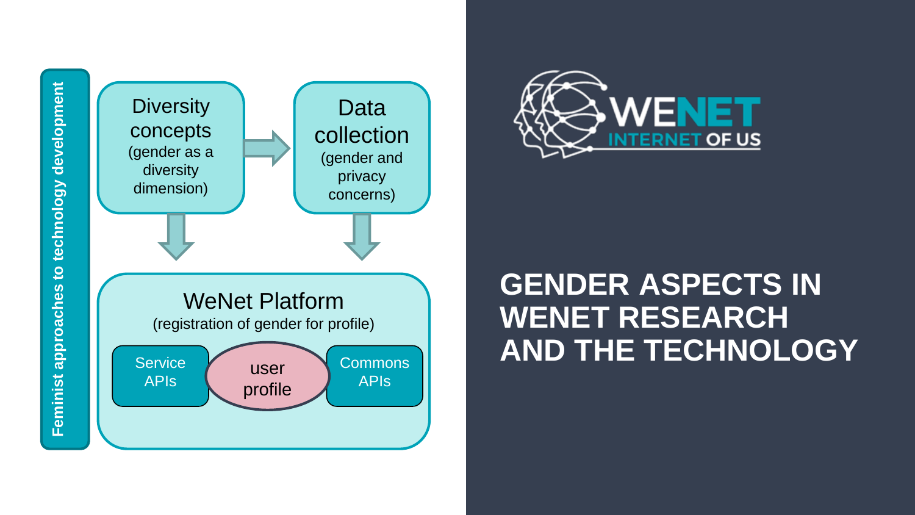



## **GENDER ASPECTS IN WENET RESEARCH AND THE TECHNOLOGY**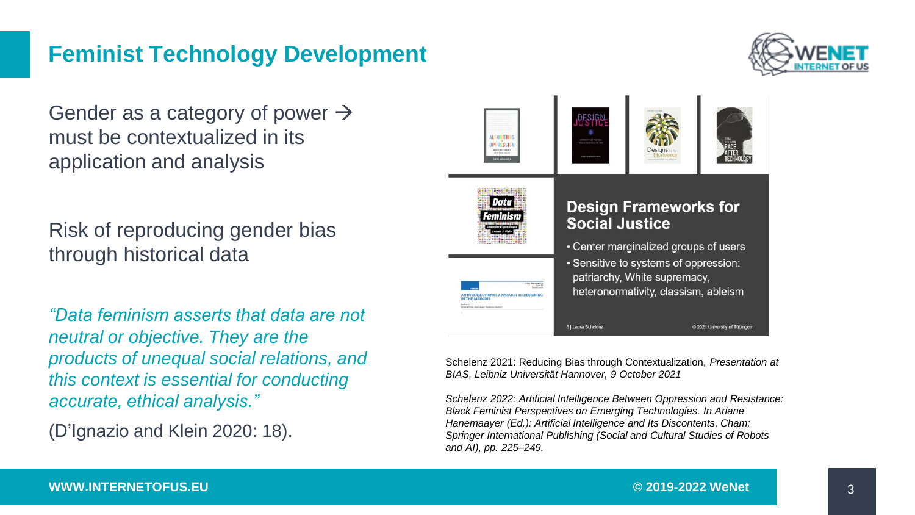#### **Feminist Technology Development**

Gender as a category of power  $\rightarrow$ must be contextualized in its application and analysis

Risk of reproducing gender bias through historical data

*"Data feminism asserts that data are not neutral or objective. They are the products of unequal social relations, and this context is essential for conducting accurate, ethical analysis."* 

(D'Ignazio and Klein 2020: 18).



Schelenz 2021: Reducing Bias through Contextualization, *Presentation at BIAS, Leibniz Universität Hannover, 9 October 2021*

*Schelenz 2022: Artificial Intelligence Between Oppression and Resistance: Black Feminist Perspectives on Emerging Technologies. In Ariane Hanemaayer (Ed.): Artificial Intelligence and Its Discontents. Cham: Springer International Publishing (Social and Cultural Studies of Robots and AI), pp. 225–249.*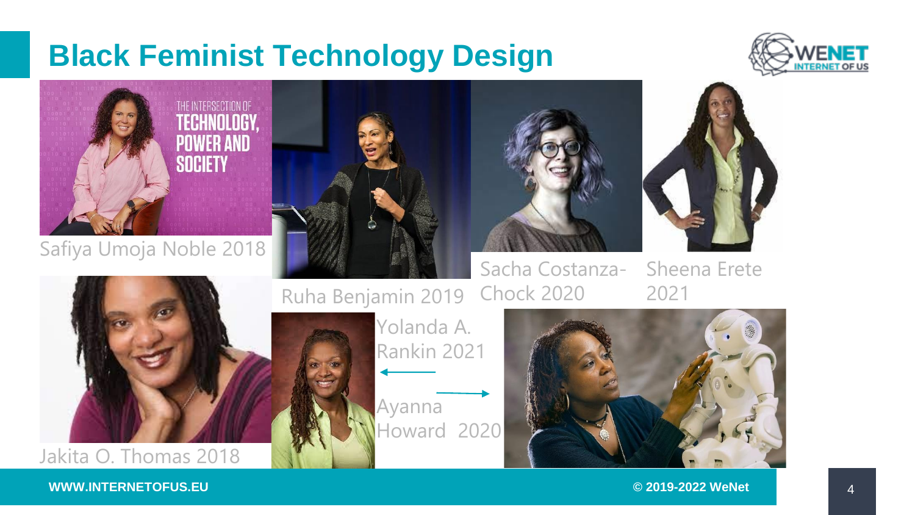## **Black Feminist Technology Design**





Safiya Umoja Noble 2018



Sheena Erete 2021



Ayanna Howard 2020 Yolanda A. Rankin 2021



#### **WWW.INTERNETOFUS.EU © 2019-2022 WeNet**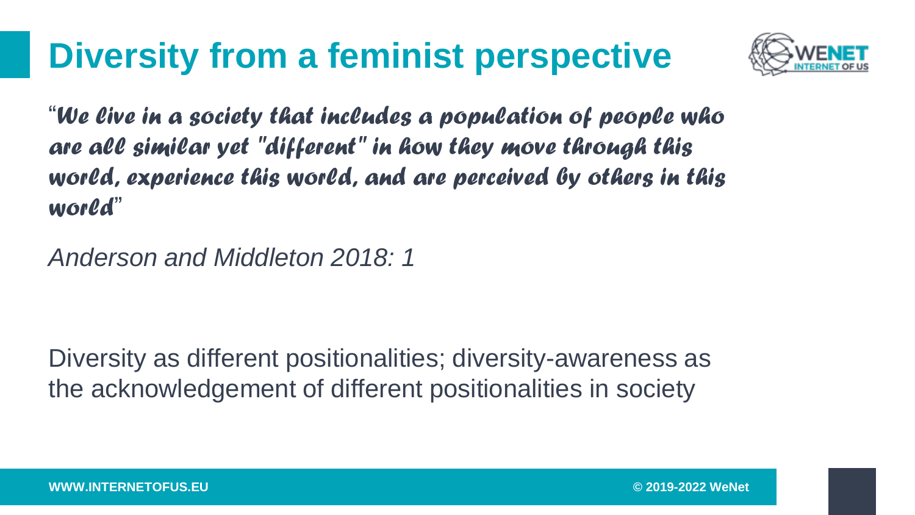## **Diversity from a feminist perspective**



"*We live in a society that includes a population of people who are all similar yet "different" in how they move through this world, experience this world, and are perceived by others in this world*"

*Anderson and Middleton 2018: 1*

Diversity as different positionalities; diversity-awareness as the acknowledgement of different positionalities in society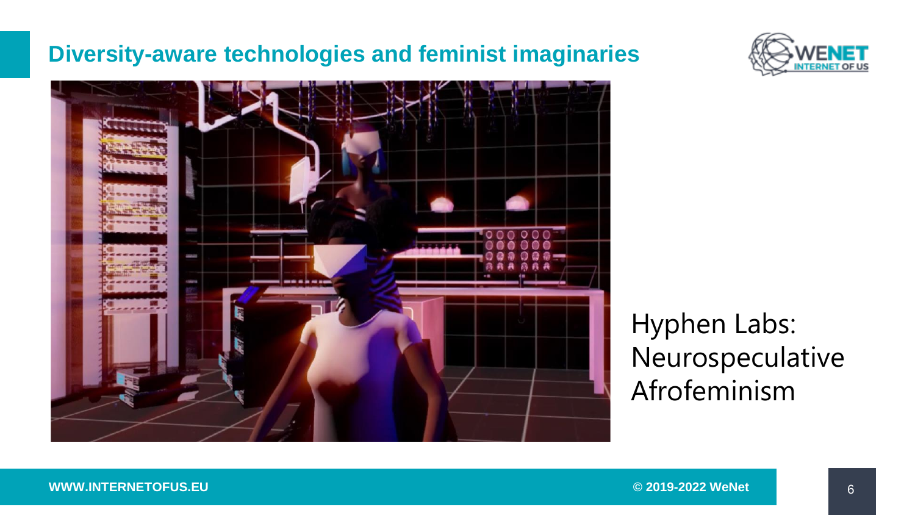#### **Diversity-aware technologies and feminist imaginaries**





Hyphen Labs: Neurospeculative Afrofeminism

**WWW.INTERNETOFUS.EU © 2019-2022 WeNet**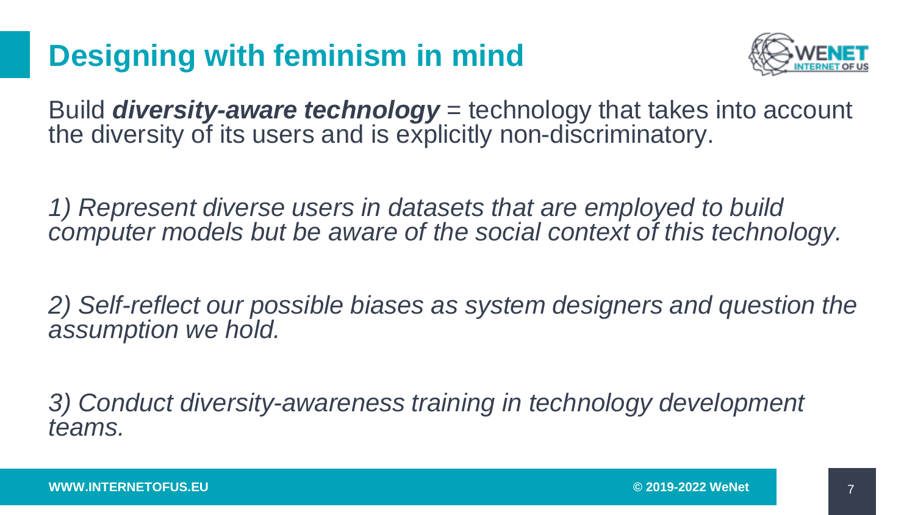## **Designing with feminism in mind**



Build *diversity-aware technology* = technology that takes into account the diversity of its users and is explicitly non-discriminatory.

*1) Represent diverse users in datasets that are employed to build computer models but be aware of the social context of this technology.* 

*2) Self-reflect our possible biases as system designers and question the assumption we hold.* 

*3) Conduct diversity-awareness training in technology development teams.*